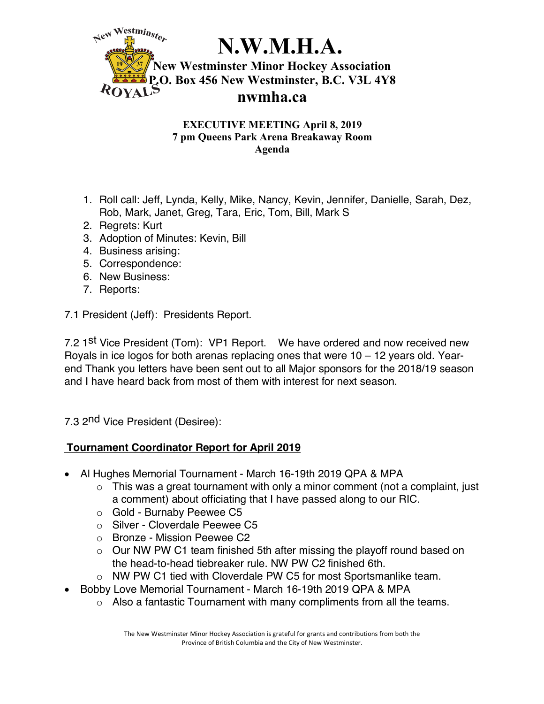

### **EXECUTIVE MEETING April 8, 2019 7 pm Queens Park Arena Breakaway Room Agenda**

- 1. Roll call: Jeff, Lynda, Kelly, Mike, Nancy, Kevin, Jennifer, Danielle, Sarah, Dez, Rob, Mark, Janet, Greg, Tara, Eric, Tom, Bill, Mark S
- 2. Regrets: Kurt
- 3. Adoption of Minutes: Kevin, Bill
- 4. Business arising:
- 5. Correspondence:
- 6. New Business:
- 7. Reports:

7.1 President (Jeff): Presidents Report.

7.2 1<sup>st</sup> Vice President (Tom): VP1 Report. We have ordered and now received new Royals in ice logos for both arenas replacing ones that were  $10 - 12$  years old. Yearend Thank you letters have been sent out to all Major sponsors for the 2018/19 season and I have heard back from most of them with interest for next season.

7.3 2<sup>nd</sup> Vice President (Desiree):

## **Tournament Coordinator Report for April 2019**

- Al Hughes Memorial Tournament March 16-19th 2019 QPA & MPA
	- $\circ$  This was a great tournament with only a minor comment (not a complaint, just a comment) about officiating that I have passed along to our RIC.
	- o Gold Burnaby Peewee C5
	- o Silver Cloverdale Peewee C5
	- o Bronze Mission Peewee C2
	- $\circ$  Our NW PW C1 team finished 5th after missing the playoff round based on the head-to-head tiebreaker rule. NW PW C2 finished 6th.
	- o NW PW C1 tied with Cloverdale PW C5 for most Sportsmanlike team.
- Bobby Love Memorial Tournament March 16-19th 2019 QPA & MPA
	- o Also a fantastic Tournament with many compliments from all the teams.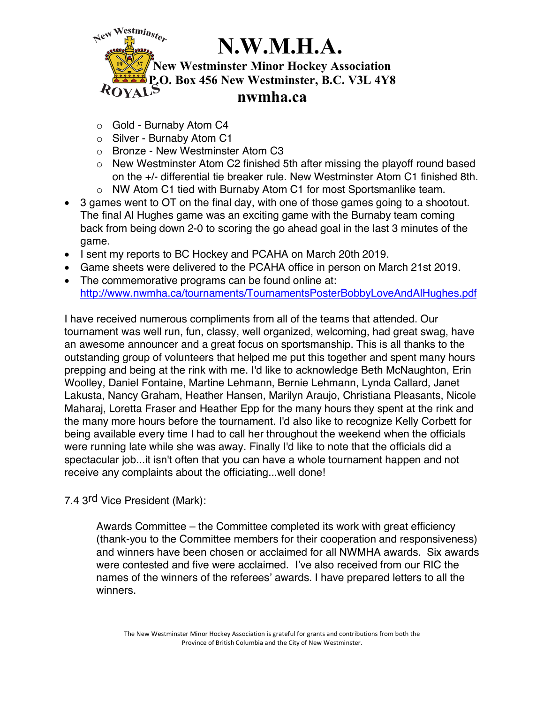

- o Gold Burnaby Atom C4
- o Silver Burnaby Atom C1
- o Bronze New Westminster Atom C3
- o New Westminster Atom C2 finished 5th after missing the playoff round based on the +/- differential tie breaker rule. New Westminster Atom C1 finished 8th.
- o NW Atom C1 tied with Burnaby Atom C1 for most Sportsmanlike team.
- 3 games went to OT on the final day, with one of those games going to a shootout. The final Al Hughes game was an exciting game with the Burnaby team coming back from being down 2-0 to scoring the go ahead goal in the last 3 minutes of the game.
- I sent my reports to BC Hockey and PCAHA on March 20th 2019.
- Game sheets were delivered to the PCAHA office in person on March 21st 2019.
- The commemorative programs can be found online at: http://www.nwmha.ca/tournaments/TournamentsPosterBobbyLoveAndAlHughes.pdf

I have received numerous compliments from all of the teams that attended. Our tournament was well run, fun, classy, well organized, welcoming, had great swag, have an awesome announcer and a great focus on sportsmanship. This is all thanks to the outstanding group of volunteers that helped me put this together and spent many hours prepping and being at the rink with me. I'd like to acknowledge Beth McNaughton, Erin Woolley, Daniel Fontaine, Martine Lehmann, Bernie Lehmann, Lynda Callard, Janet Lakusta, Nancy Graham, Heather Hansen, Marilyn Araujo, Christiana Pleasants, Nicole Maharaj, Loretta Fraser and Heather Epp for the many hours they spent at the rink and the many more hours before the tournament. I'd also like to recognize Kelly Corbett for being available every time I had to call her throughout the weekend when the officials were running late while she was away. Finally I'd like to note that the officials did a spectacular job...it isn't often that you can have a whole tournament happen and not receive any complaints about the officiating...well done!

7.4 3rd Vice President (Mark):

Awards Committee – the Committee completed its work with great efficiency (thank-you to the Committee members for their cooperation and responsiveness) and winners have been chosen or acclaimed for all NWMHA awards. Six awards were contested and five were acclaimed. I've also received from our RIC the names of the winners of the referees' awards. I have prepared letters to all the winners.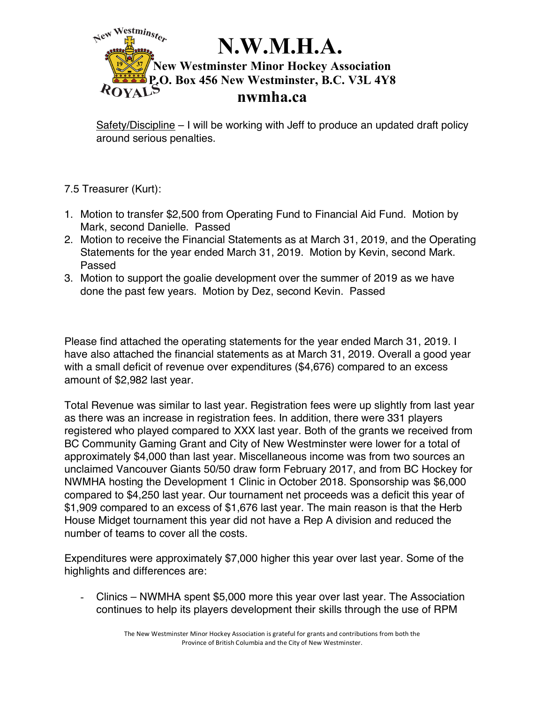

Safety/Discipline – I will be working with Jeff to produce an updated draft policy around serious penalties.

- 7.5 Treasurer (Kurt):
- 1. Motion to transfer \$2,500 from Operating Fund to Financial Aid Fund. Motion by Mark, second Danielle. Passed
- 2. Motion to receive the Financial Statements as at March 31, 2019, and the Operating Statements for the year ended March 31, 2019. Motion by Kevin, second Mark. Passed
- 3. Motion to support the goalie development over the summer of 2019 as we have done the past few years. Motion by Dez, second Kevin. Passed

Please find attached the operating statements for the year ended March 31, 2019. I have also attached the financial statements as at March 31, 2019. Overall a good year with a small deficit of revenue over expenditures (\$4,676) compared to an excess amount of \$2,982 last year.

Total Revenue was similar to last year. Registration fees were up slightly from last year as there was an increase in registration fees. In addition, there were 331 players registered who played compared to XXX last year. Both of the grants we received from BC Community Gaming Grant and City of New Westminster were lower for a total of approximately \$4,000 than last year. Miscellaneous income was from two sources an unclaimed Vancouver Giants 50/50 draw form February 2017, and from BC Hockey for NWMHA hosting the Development 1 Clinic in October 2018. Sponsorship was \$6,000 compared to \$4,250 last year. Our tournament net proceeds was a deficit this year of \$1,909 compared to an excess of \$1,676 last year. The main reason is that the Herb House Midget tournament this year did not have a Rep A division and reduced the number of teams to cover all the costs.

Expenditures were approximately \$7,000 higher this year over last year. Some of the highlights and differences are:

- Clinics – NWMHA spent \$5,000 more this year over last year. The Association continues to help its players development their skills through the use of RPM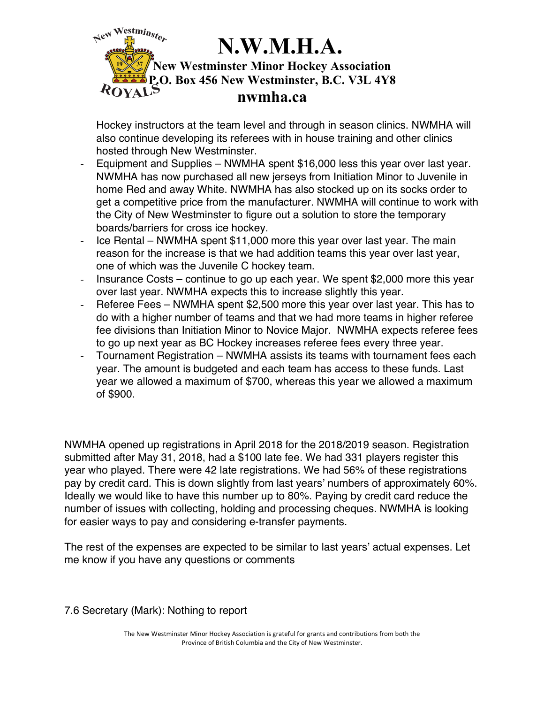### $\leq$ ew Westminster **N.W.M.H.A. New Westminster Minor Hockey Association P.O. Box 456 New Westminster, B.C. V3L 4Y8** ROYAL **nwmha.ca**

Hockey instructors at the team level and through in season clinics. NWMHA will also continue developing its referees with in house training and other clinics hosted through New Westminster.

- Equipment and Supplies NWMHA spent \$16,000 less this year over last year. NWMHA has now purchased all new jerseys from Initiation Minor to Juvenile in home Red and away White. NWMHA has also stocked up on its socks order to get a competitive price from the manufacturer. NWMHA will continue to work with the City of New Westminster to figure out a solution to store the temporary boards/barriers for cross ice hockey.
- Ice Rental NWMHA spent \$11,000 more this year over last year. The main reason for the increase is that we had addition teams this year over last year, one of which was the Juvenile C hockey team.
- Insurance Costs continue to go up each year. We spent \$2,000 more this year over last year. NWMHA expects this to increase slightly this year.
- Referee Fees NWMHA spent \$2,500 more this year over last year. This has to do with a higher number of teams and that we had more teams in higher referee fee divisions than Initiation Minor to Novice Major. NWMHA expects referee fees to go up next year as BC Hockey increases referee fees every three year.
- Tournament Registration NWMHA assists its teams with tournament fees each year. The amount is budgeted and each team has access to these funds. Last year we allowed a maximum of \$700, whereas this year we allowed a maximum of \$900.

NWMHA opened up registrations in April 2018 for the 2018/2019 season. Registration submitted after May 31, 2018, had a \$100 late fee. We had 331 players register this year who played. There were 42 late registrations. We had 56% of these registrations pay by credit card. This is down slightly from last years' numbers of approximately 60%. Ideally we would like to have this number up to 80%. Paying by credit card reduce the number of issues with collecting, holding and processing cheques. NWMHA is looking for easier ways to pay and considering e-transfer payments.

The rest of the expenses are expected to be similar to last years' actual expenses. Let me know if you have any questions or comments

7.6 Secretary (Mark): Nothing to report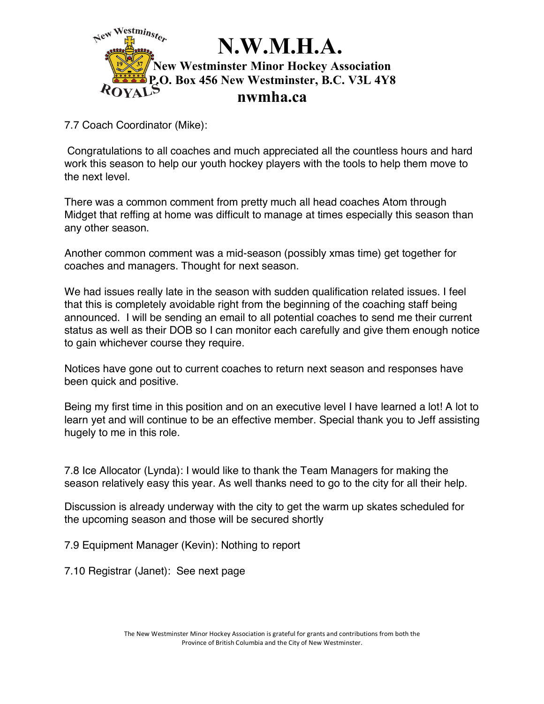

7.7 Coach Coordinator (Mike):

Congratulations to all coaches and much appreciated all the countless hours and hard work this season to help our youth hockey players with the tools to help them move to the next level.

There was a common comment from pretty much all head coaches Atom through Midget that reffing at home was difficult to manage at times especially this season than any other season.

Another common comment was a mid-season (possibly xmas time) get together for coaches and managers. Thought for next season.

We had issues really late in the season with sudden qualification related issues. I feel that this is completely avoidable right from the beginning of the coaching staff being announced. I will be sending an email to all potential coaches to send me their current status as well as their DOB so I can monitor each carefully and give them enough notice to gain whichever course they require.

Notices have gone out to current coaches to return next season and responses have been quick and positive.

Being my first time in this position and on an executive level I have learned a lot! A lot to learn yet and will continue to be an effective member. Special thank you to Jeff assisting hugely to me in this role.

7.8 Ice Allocator (Lynda): I would like to thank the Team Managers for making the season relatively easy this year. As well thanks need to go to the city for all their help.

Discussion is already underway with the city to get the warm up skates scheduled for the upcoming season and those will be secured shortly

7.9 Equipment Manager (Kevin): Nothing to report

7.10 Registrar (Janet): See next page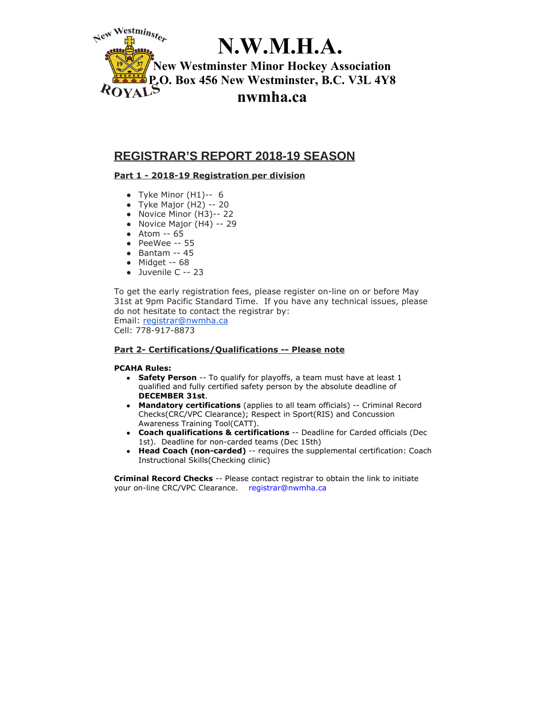

# **N.W.M.H.A.**

**New Westminster Minor Hockey Association P.O. Box 456 New Westminster, B.C. V3L 4Y8 nwmha.ca**

## **REGISTRAR'S REPORT 2018-19 SEASON**

#### **Part 1 - 2018-19 Registration per division**

- Tyke Minor  $(H1)$ -- 6
- $\bullet$  Tyke Major (H2) -- 20
- Novice Minor (H3)-- 22
- $\bullet$  Novice Major (H4) -- 29
- Atom -- 65
- PeeWee -- 55
- Bantam -- 45
- Midget -- 68
- Juvenile C -- 23

To get the early registration fees, please register on-line on or before May 31st at 9pm Pacific Standard Time. If you have any technical issues, please do not hesitate to contact the registrar by: Email: registrar@nwmha.ca

Cell: 778-917-8873

#### **Part 2- Certifications/Qualifications -- Please note**

#### **PCAHA Rules:**

- **Safety Person** -- To qualify for playoffs, a team must have at least 1 qualified and fully certified safety person by the absolute deadline of **DECEMBER 31st**.
- **Mandatory certifications** (applies to all team officials) -- Criminal Record Checks(CRC/VPC Clearance); Respect in Sport(RIS) and Concussion Awareness Training Tool(CATT).
- **Coach qualifications & certifications** -- Deadline for Carded officials (Dec 1st). Deadline for non-carded teams (Dec 15th)
- **Head Coach (non-carded)** -- requires the supplemental certification: Coach Instructional Skills(Checking clinic)

**Criminal Record Checks** -- Please contact registrar to obtain the link to initiate your on-line CRC/VPC Clearance. registrar@nwmha.ca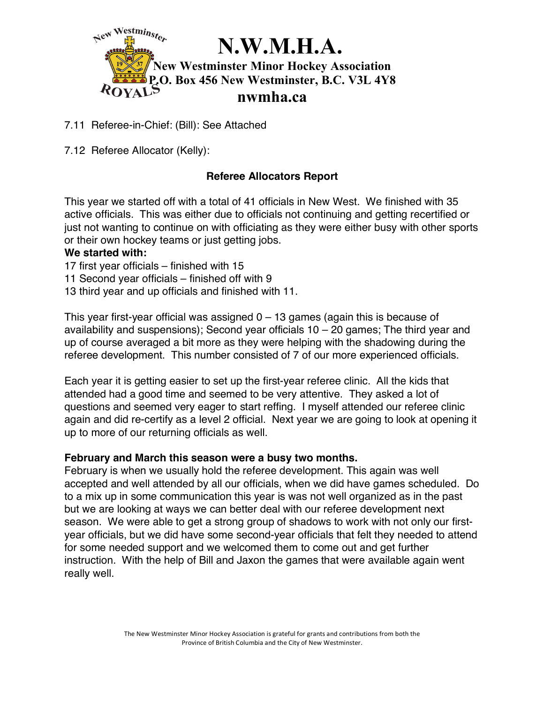

7.11 Referee-in-Chief: (Bill): See Attached

7.12 Referee Allocator (Kelly):

## **Referee Allocators Report**

This year we started off with a total of 41 officials in New West. We finished with 35 active officials. This was either due to officials not continuing and getting recertified or just not wanting to continue on with officiating as they were either busy with other sports or their own hockey teams or just getting jobs.

#### **We started with:**

- 17 first year officials finished with 15
- 11 Second year officials finished off with 9
- 13 third year and up officials and finished with 11.

This year first-year official was assigned  $0 - 13$  games (again this is because of availability and suspensions); Second year officials 10 – 20 games; The third year and up of course averaged a bit more as they were helping with the shadowing during the referee development. This number consisted of 7 of our more experienced officials.

Each year it is getting easier to set up the first-year referee clinic. All the kids that attended had a good time and seemed to be very attentive. They asked a lot of questions and seemed very eager to start reffing. I myself attended our referee clinic again and did re-certify as a level 2 official. Next year we are going to look at opening it up to more of our returning officials as well.

#### **February and March this season were a busy two months.**

February is when we usually hold the referee development. This again was well accepted and well attended by all our officials, when we did have games scheduled. Do to a mix up in some communication this year is was not well organized as in the past but we are looking at ways we can better deal with our referee development next season. We were able to get a strong group of shadows to work with not only our firstyear officials, but we did have some second-year officials that felt they needed to attend for some needed support and we welcomed them to come out and get further instruction. With the help of Bill and Jaxon the games that were available again went really well.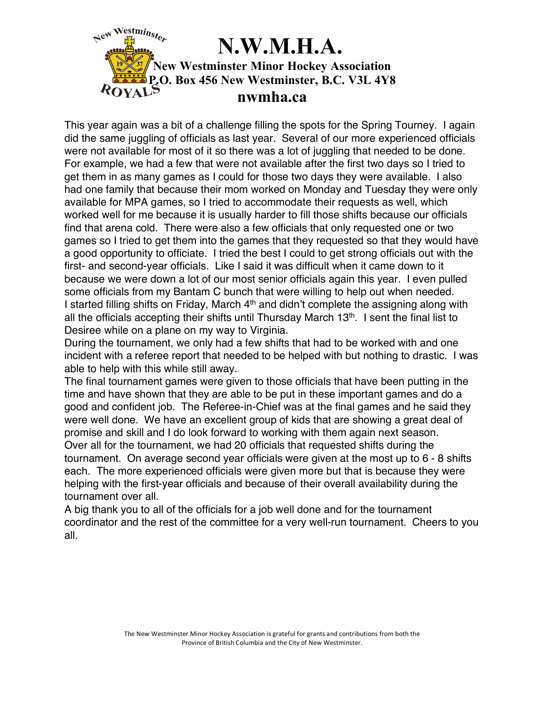

This year again was a bit of a challenge filling the spots for the Spring Tourney. I again did the same juggling of officials as last year. Several of our more experienced officials were not available for most of it so there was a lot of juggling that needed to be done. For example, we had a few that were not available after the first two days so I tried to get them in as many games as I could for those two days they were available. I also had one family that because their mom worked on Monday and Tuesday they were only available for MPA games, so I tried to accommodate their requests as well, which worked well for me because it is usually harder to fill those shifts because our officials find that arena cold. There were also a few officials that only requested one or two games so I tried to get them into the games that they requested so that they would have a good opportunity to officiate. I tried the best I could to get strong officials out with the first- and second-year officials. Like I said it was difficult when it came down to it because we were down a lot of our most senior officials again this year. I even pulled some officials from my Bantam C bunch that were willing to help out when needed. I started filling shifts on Friday, March  $4<sup>th</sup>$  and didn't complete the assigning along with all the officials accepting their shifts until Thursday March 13<sup>th</sup>. I sent the final list to Desiree while on a plane on my way to Virginia.

During the tournament, we only had a few shifts that had to be worked with and one incident with a referee report that needed to be helped with but nothing to drastic. I was able to help with this while still away.

The final tournament games were given to those officials that have been putting in the time and have shown that they are able to be put in these important games and do a good and confident job. The Referee-in-Chief was at the final games and he said they were well done. We have an excellent group of kids that are showing a great deal of promise and skill and I do look forward to working with them again next season. Over all for the tournament, we had 20 officials that requested shifts during the tournament. On average second year officials were given at the most up to 6 - 8 shifts each. The more experienced officials were given more but that is because they were helping with the first-year officials and because of their overall availability during the tournament over all.

A big thank you to all of the officials for a job well done and for the tournament coordinator and the rest of the committee for a very well-run tournament. Cheers to you all.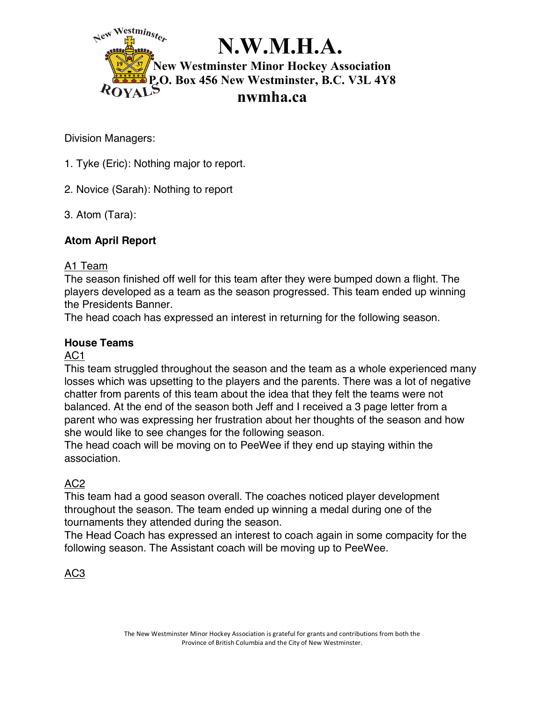

# **N.W.M.H.A.**

**New Westminster Minor Hockey Association P.O. Box 456 New Westminster, B.C. V3L 4Y8 nwmha.ca**

Division Managers:

- 1. Tyke (Eric): Nothing major to report.
- 2. Novice (Sarah): Nothing to report
- 3. Atom (Tara):

# **Atom April Report**

## A1 Team

The season finished off well for this team after they were bumped down a flight. The players developed as a team as the season progressed. This team ended up winning the Presidents Banner.

The head coach has expressed an interest in returning for the following season.

## **House Teams**

## AC1

This team struggled throughout the season and the team as a whole experienced many losses which was upsetting to the players and the parents. There was a lot of negative chatter from parents of this team about the idea that they felt the teams were not balanced. At the end of the season both Jeff and I received a 3 page letter from a parent who was expressing her frustration about her thoughts of the season and how she would like to see changes for the following season.

The head coach will be moving on to PeeWee if they end up staying within the association.

# AC2

This team had a good season overall. The coaches noticed player development throughout the season. The team ended up winning a medal during one of the tournaments they attended during the season.

The Head Coach has expressed an interest to coach again in some compacity for the following season. The Assistant coach will be moving up to PeeWee.

AC3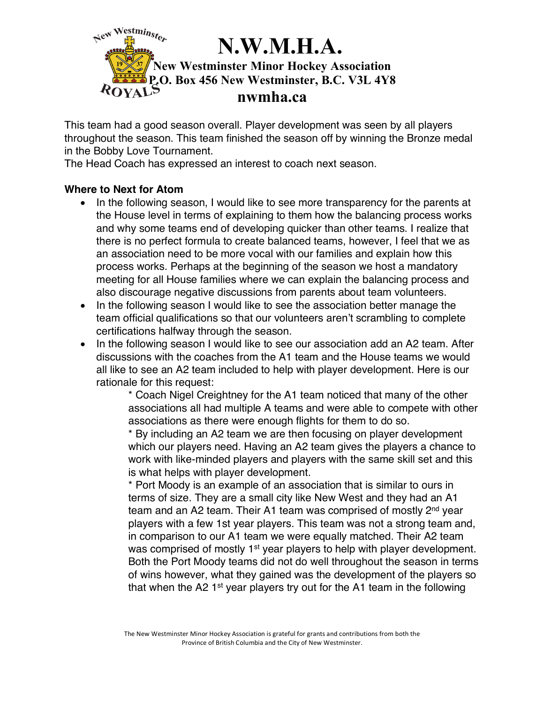

This team had a good season overall. Player development was seen by all players throughout the season. This team finished the season off by winning the Bronze medal in the Bobby Love Tournament.

The Head Coach has expressed an interest to coach next season.

### **Where to Next for Atom**

- In the following season, I would like to see more transparency for the parents at the House level in terms of explaining to them how the balancing process works and why some teams end of developing quicker than other teams. I realize that there is no perfect formula to create balanced teams, however, I feel that we as an association need to be more vocal with our families and explain how this process works. Perhaps at the beginning of the season we host a mandatory meeting for all House families where we can explain the balancing process and also discourage negative discussions from parents about team volunteers.
- In the following season I would like to see the association better manage the team official qualifications so that our volunteers aren't scrambling to complete certifications halfway through the season.
- In the following season I would like to see our association add an A2 team. After discussions with the coaches from the A1 team and the House teams we would all like to see an A2 team included to help with player development. Here is our rationale for this request:

\* Coach Nigel Creightney for the A1 team noticed that many of the other associations all had multiple A teams and were able to compete with other associations as there were enough flights for them to do so.

\* By including an A2 team we are then focusing on player development which our players need. Having an A2 team gives the players a chance to work with like-minded players and players with the same skill set and this is what helps with player development.

\* Port Moody is an example of an association that is similar to ours in terms of size. They are a small city like New West and they had an A1 team and an A2 team. Their A1 team was comprised of mostly  $2<sup>nd</sup>$  year players with a few 1st year players. This team was not a strong team and, in comparison to our A1 team we were equally matched. Their A2 team was comprised of mostly 1<sup>st</sup> year players to help with player development. Both the Port Moody teams did not do well throughout the season in terms of wins however, what they gained was the development of the players so that when the A2  $1<sup>st</sup>$  year players try out for the A1 team in the following

The New Westminster Minor Hockey Association is grateful for grants and contributions from both the Province of British Columbia and the City of New Westminster.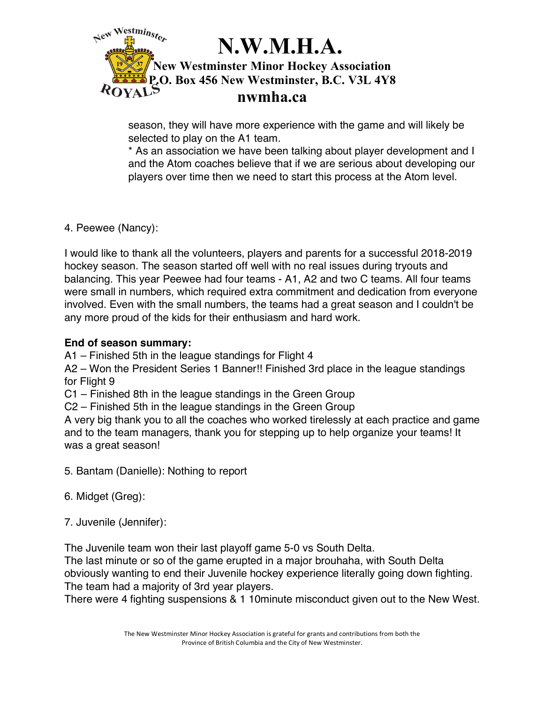

season, they will have more experience with the game and will likely be selected to play on the A1 team.

\* As an association we have been talking about player development and I and the Atom coaches believe that if we are serious about developing our players over time then we need to start this process at the Atom level.

4. Peewee (Nancy):

I would like to thank all the volunteers, players and parents for a successful 2018-2019 hockey season. The season started off well with no real issues during tryouts and balancing. This year Peewee had four teams - A1, A2 and two C teams. All four teams were small in numbers, which required extra commitment and dedication from everyone involved. Even with the small numbers, the teams had a great season and I couldn't be any more proud of the kids for their enthusiasm and hard work.

### **End of season summary:**

A1 – Finished 5th in the league standings for Flight 4

A2 – Won the President Series 1 Banner!! Finished 3rd place in the league standings for Flight 9

C1 – Finished 8th in the league standings in the Green Group

C2 – Finished 5th in the league standings in the Green Group

A very big thank you to all the coaches who worked tirelessly at each practice and game and to the team managers, thank you for stepping up to help organize your teams! It was a great season!

- 5. Bantam (Danielle): Nothing to report
- 6. Midget (Greg):
- 7. Juvenile (Jennifer):

The Juvenile team won their last playoff game 5-0 vs South Delta.

The last minute or so of the game erupted in a major brouhaha, with South Delta obviously wanting to end their Juvenile hockey experience literally going down fighting. The team had a majority of 3rd year players.

There were 4 fighting suspensions & 1 10minute misconduct given out to the New West.